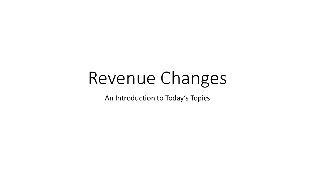# Revenue Changes

An Introduction to Today's Topics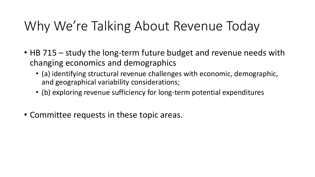## Why We're Talking About Revenue Today

- HB 715 study the long-term future budget and revenue needs with changing economics and demographics
	- (a) identifying structural revenue challenges with economic, demographic, and geographical variability considerations;
	- (b) exploring revenue sufficiency for long-term potential expenditures
- Committee requests in these topic areas.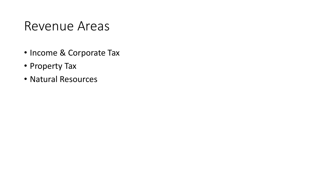#### Revenue Areas

- Income & Corporate Tax
- Property Tax
- Natural Resources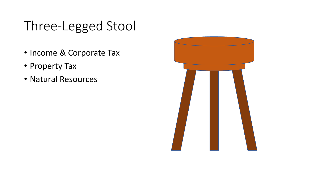## Three-Legged Stool

- Income & Corporate Tax
- Property Tax
- Natural Resources

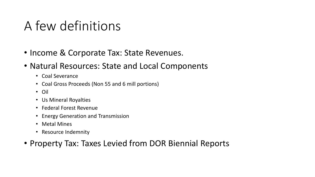#### A few definitions

- Income & Corporate Tax: State Revenues.
- Natural Resources: State and Local Components
	- Coal Severance
	- Coal Gross Proceeds (Non 55 and 6 mill portions)
	- Oil
	- Us Mineral Royalties
	- Federal Forest Revenue
	- Energy Generation and Transmission
	- Metal Mines
	- Resource Indemnity
- Property Tax: Taxes Levied from DOR Biennial Reports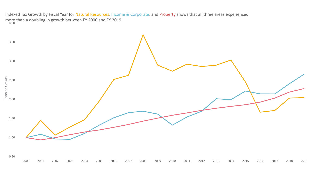more than a doubling in growth between FY 2000 and FY 2019<br>4.00 Indexed Tax Growth by Fiscal Year for Natural Resources, Income & Corporate, and Property shows that all three areas experienced

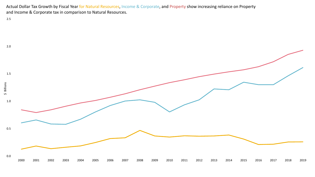Actual Dollar Tax Growth by Fiscal Year for Natural Resources, Income & Corporate, and Property show increasing reliance on Property and Income & Corporate tax in comparison to Natural Resources.

2.5

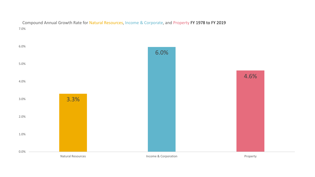7.0% Compound Annual Growth Rate for Natural Resources, Income & Corporate, and Property FY 1978 to FY 2019

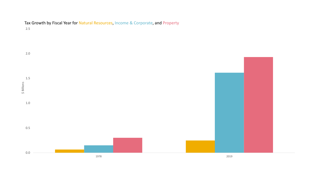

Tax Growth by Fiscal Year for Natural Resources, Income & Corporate, and Property